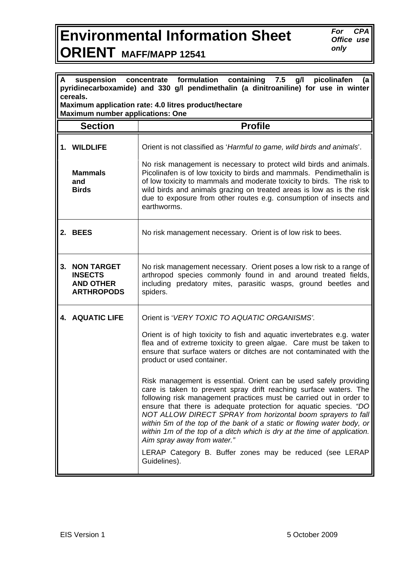## **Environmental Information Sheet ORIENT MAFF/MAPP 12541**

*For CPA Office use only* 

| formulation<br>containing<br>7.5<br>picolinafen<br>suspension<br>g/l<br>A<br>concentrate<br>(a<br>pyridinecarboxamide) and 330 g/l pendimethalin (a dinitroaniline) for use in winter<br>cereals. |                                                                              |                                                                                                                                                                                                                                                                                                                                                                                                                                                                                                                                                                                                                                                                                                                                                                                                                                               |  |
|---------------------------------------------------------------------------------------------------------------------------------------------------------------------------------------------------|------------------------------------------------------------------------------|-----------------------------------------------------------------------------------------------------------------------------------------------------------------------------------------------------------------------------------------------------------------------------------------------------------------------------------------------------------------------------------------------------------------------------------------------------------------------------------------------------------------------------------------------------------------------------------------------------------------------------------------------------------------------------------------------------------------------------------------------------------------------------------------------------------------------------------------------|--|
| Maximum application rate: 4.0 litres product/hectare<br><b>Maximum number applications: One</b>                                                                                                   |                                                                              |                                                                                                                                                                                                                                                                                                                                                                                                                                                                                                                                                                                                                                                                                                                                                                                                                                               |  |
|                                                                                                                                                                                                   | <b>Section</b>                                                               | <b>Profile</b>                                                                                                                                                                                                                                                                                                                                                                                                                                                                                                                                                                                                                                                                                                                                                                                                                                |  |
|                                                                                                                                                                                                   | 1. WILDLIFE<br><b>Mammals</b><br>and<br><b>Birds</b>                         | Orient is not classified as 'Harmful to game, wild birds and animals'.<br>No risk management is necessary to protect wild birds and animals.<br>Picolinafen is of low toxicity to birds and mammals. Pendimethalin is<br>of low toxicity to mammals and moderate toxicity to birds. The risk to<br>wild birds and animals grazing on treated areas is low as is the risk                                                                                                                                                                                                                                                                                                                                                                                                                                                                      |  |
|                                                                                                                                                                                                   |                                                                              | due to exposure from other routes e.g. consumption of insects and<br>earthworms.                                                                                                                                                                                                                                                                                                                                                                                                                                                                                                                                                                                                                                                                                                                                                              |  |
| 2.                                                                                                                                                                                                | <b>BEES</b>                                                                  | No risk management necessary. Orient is of low risk to bees.                                                                                                                                                                                                                                                                                                                                                                                                                                                                                                                                                                                                                                                                                                                                                                                  |  |
| 3.                                                                                                                                                                                                | <b>NON TARGET</b><br><b>INSECTS</b><br><b>AND OTHER</b><br><b>ARTHROPODS</b> | No risk management necessary. Orient poses a low risk to a range of<br>arthropod species commonly found in and around treated fields,<br>including predatory mites, parasitic wasps, ground beetles and<br>spiders.                                                                                                                                                                                                                                                                                                                                                                                                                                                                                                                                                                                                                           |  |
|                                                                                                                                                                                                   | <b>4. AQUATIC LIFE</b>                                                       | Orient is 'VERY TOXIC TO AQUATIC ORGANISMS'.<br>Orient is of high toxicity to fish and aquatic invertebrates e.g. water<br>flea and of extreme toxicity to green algae. Care must be taken to<br>ensure that surface waters or ditches are not contaminated with the<br>product or used container.<br>Risk management is essential. Orient can be used safely providing<br>care is taken to prevent spray drift reaching surface waters. The<br>following risk management practices must be carried out in order to<br>ensure that there is adequate protection for aquatic species. "DO<br>NOT ALLOW DIRECT SPRAY from horizontal boom sprayers to fall<br>within 5m of the top of the bank of a static or flowing water body, or<br>within 1m of the top of a ditch which is dry at the time of application.<br>Aim spray away from water." |  |
|                                                                                                                                                                                                   |                                                                              | LERAP Category B. Buffer zones may be reduced (see LERAP<br>Guidelines).                                                                                                                                                                                                                                                                                                                                                                                                                                                                                                                                                                                                                                                                                                                                                                      |  |